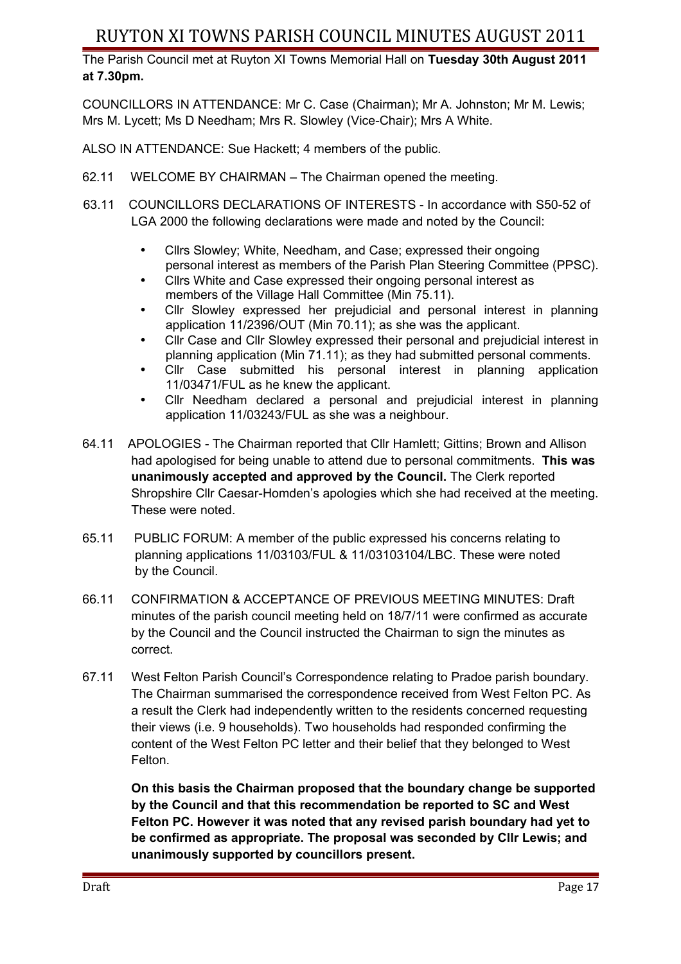The Parish Council met at Ruyton XI Towns Memorial Hall on **Tuesday 30th August 2011 at 7.30pm.** 

COUNCILLORS IN ATTENDANCE: Mr C. Case (Chairman); Mr A. Johnston; Mr M. Lewis; Mrs M. Lycett; Ms D Needham; Mrs R. Slowley (Vice-Chair); Mrs A White.

ALSO IN ATTENDANCE: Sue Hackett; 4 members of the public.

- 62.11 WELCOME BY CHAIRMAN The Chairman opened the meeting.
- 63.11 COUNCILLORS DECLARATIONS OF INTERESTS In accordance with S50-52 of LGA 2000 the following declarations were made and noted by the Council:
	- Cllrs Slowley; White, Needham, and Case; expressed their ongoing personal interest as members of the Parish Plan Steering Committee (PPSC).
	- Cllrs White and Case expressed their ongoing personal interest as members of the Village Hall Committee (Min 75.11).
	- Cllr Slowley expressed her prejudicial and personal interest in planning application 11/2396/OUT (Min 70.11); as she was the applicant.
	- Cllr Case and Cllr Slowley expressed their personal and prejudicial interest in planning application (Min 71.11); as they had submitted personal comments.
	- Cllr Case submitted his personal interest in planning application 11/03471/FUL as he knew the applicant.
	- Cllr Needham declared a personal and prejudicial interest in planning application 11/03243/FUL as she was a neighbour.
- 64.11 APOLOGIES The Chairman reported that Cllr Hamlett; Gittins; Brown and Allison had apologised for being unable to attend due to personal commitments. **This was unanimously accepted and approved by the Council.** The Clerk reported Shropshire Cllr Caesar-Homden's apologies which she had received at the meeting. These were noted.
- 65.11 PUBLIC FORUM: A member of the public expressed his concerns relating to planning applications 11/03103/FUL & 11/03103104/LBC. These were noted by the Council.
- 66.11 CONFIRMATION & ACCEPTANCE OF PREVIOUS MEETING MINUTES: Draft minutes of the parish council meeting held on 18/7/11 were confirmed as accurate by the Council and the Council instructed the Chairman to sign the minutes as correct.
- 67.11 West Felton Parish Council's Correspondence relating to Pradoe parish boundary. The Chairman summarised the correspondence received from West Felton PC. As a result the Clerk had independently written to the residents concerned requesting their views (i.e. 9 households). Two households had responded confirming the content of the West Felton PC letter and their belief that they belonged to West Felton.

**On this basis the Chairman proposed that the boundary change be supported by the Council and that this recommendation be reported to SC and West Felton PC. However it was noted that any revised parish boundary had yet to be confirmed as appropriate. The proposal was seconded by Cllr Lewis; and unanimously supported by councillors present.**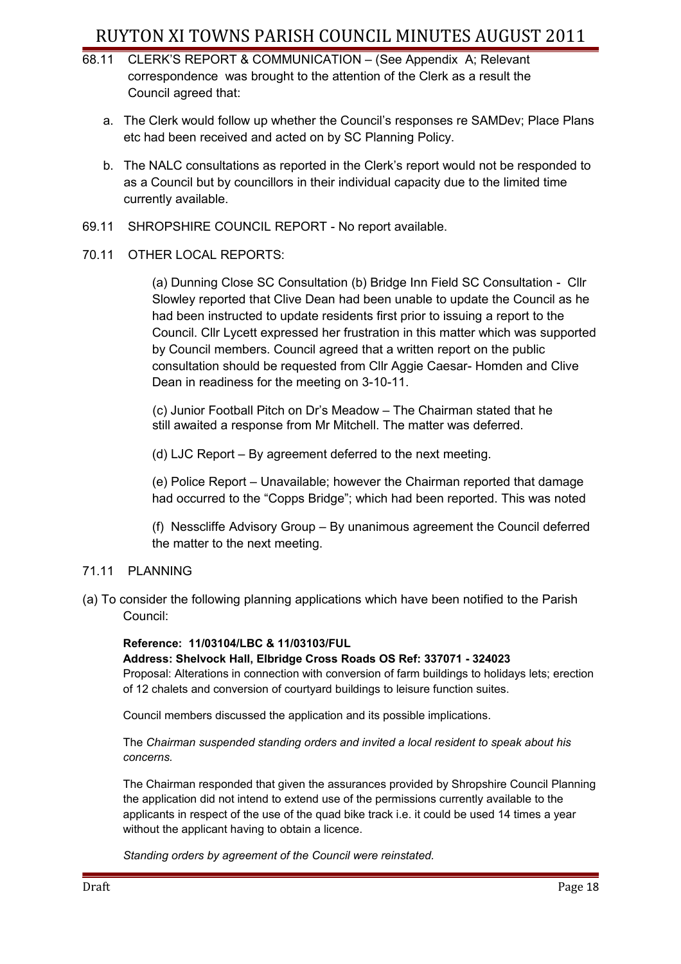- 68.11 CLERK'S REPORT & COMMUNICATION (See Appendix A; Relevant correspondence was brought to the attention of the Clerk as a result the Council agreed that:
	- a. The Clerk would follow up whether the Council's responses re SAMDev; Place Plans etc had been received and acted on by SC Planning Policy.
	- b. The NALC consultations as reported in the Clerk's report would not be responded to as a Council but by councillors in their individual capacity due to the limited time currently available.
- 69.11 SHROPSHIRE COUNCIL REPORT No report available.

## 70.11 OTHER LOCAL REPORTS:

(a) Dunning Close SC Consultation (b) Bridge Inn Field SC Consultation - Cllr Slowley reported that Clive Dean had been unable to update the Council as he had been instructed to update residents first prior to issuing a report to the Council. Cllr Lycett expressed her frustration in this matter which was supported by Council members. Council agreed that a written report on the public consultation should be requested from Cllr Aggie Caesar- Homden and Clive Dean in readiness for the meeting on 3-10-11.

 (c) Junior Football Pitch on Dr's Meadow – The Chairman stated that he still awaited a response from Mr Mitchell. The matter was deferred.

(d) LJC Report – By agreement deferred to the next meeting.

(e) Police Report – Unavailable; however the Chairman reported that damage had occurred to the "Copps Bridge"; which had been reported. This was noted

(f) Nesscliffe Advisory Group – By unanimous agreement the Council deferred the matter to the next meeting.

## 71.11 PLANNING

(a) To consider the following planning applications which have been notified to the Parish Council:

#### **Reference: 11/03104/LBC & 11/03103/FUL**

**Address: Shelvock Hall, Elbridge Cross Roads OS Ref: 337071 - 324023** Proposal: Alterations in connection with conversion of farm buildings to holidays lets; erection of 12 chalets and conversion of courtyard buildings to leisure function suites.

Council members discussed the application and its possible implications.

The *Chairman suspended standing orders and invited a local resident to speak about his concerns.*

The Chairman responded that given the assurances provided by Shropshire Council Planning the application did not intend to extend use of the permissions currently available to the applicants in respect of the use of the quad bike track i.e. it could be used 14 times a year without the applicant having to obtain a licence.

*Standing orders by agreement of the Council were reinstated.*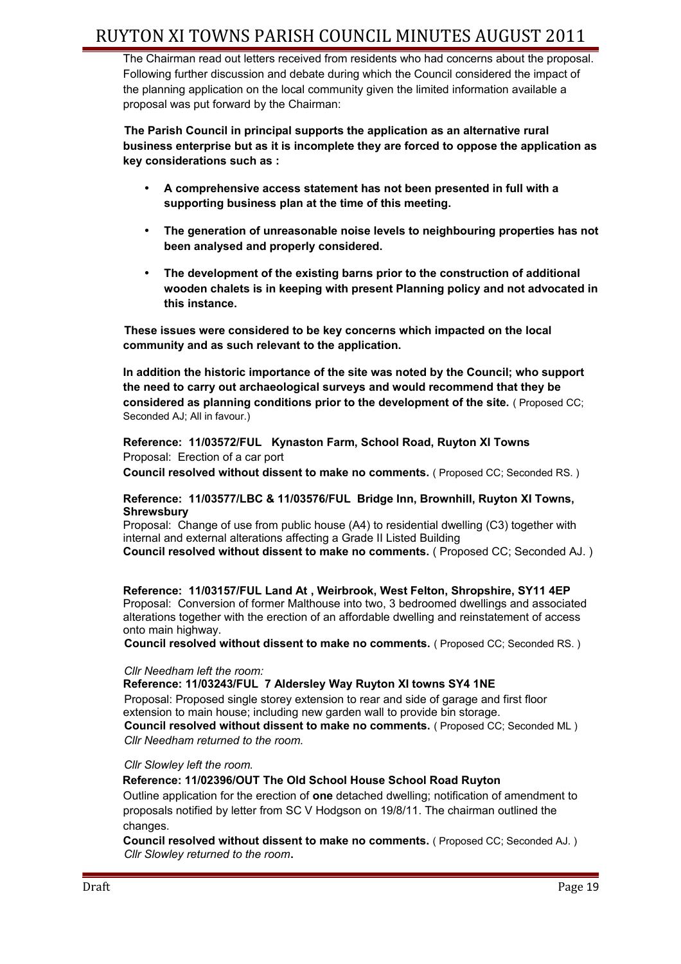The Chairman read out letters received from residents who had concerns about the proposal. Following further discussion and debate during which the Council considered the impact of the planning application on the local community given the limited information available a proposal was put forward by the Chairman:

**The Parish Council in principal supports the application as an alternative rural business enterprise but as it is incomplete they are forced to oppose the application as key considerations such as :**

- **A comprehensive access statement has not been presented in full with a supporting business plan at the time of this meeting.**
- **The generation of unreasonable noise levels to neighbouring properties has not been analysed and properly considered.**
- **The development of the existing barns prior to the construction of additional wooden chalets is in keeping with present Planning policy and not advocated in this instance.**

**These issues were considered to be key concerns which impacted on the local community and as such relevant to the application.**

**In addition the historic importance of the site was noted by the Council; who support the need to carry out archaeological surveys and would recommend that they be considered as planning conditions prior to the development of the site.** ( Proposed CC; Seconded AJ; All in favour.)

**Reference: 11/03572/FUL Kynaston Farm, School Road, Ruyton XI Towns** Proposal: Erection of a car port **Council resolved without dissent to make no comments.** ( Proposed CC; Seconded RS. )

#### **Reference: 11/03577/LBC & 11/03576/FUL Bridge Inn, Brownhill, Ruyton XI Towns, Shrewsbury**

Proposal: Change of use from public house (A4) to residential dwelling (C3) together with internal and external alterations affecting a Grade II Listed Building

**Council resolved without dissent to make no comments.** ( Proposed CC; Seconded AJ. )

**Reference: 11/03157/FUL Land At , Weirbrook, West Felton, Shropshire, SY11 4EP** Proposal: Conversion of former Malthouse into two, 3 bedroomed dwellings and associated alterations together with the erection of an affordable dwelling and reinstatement of access onto main highway.

**Council resolved without dissent to make no comments.** ( Proposed CC; Seconded RS. )

#### *Cllr Needham left the room:*

**Reference: 11/03243/FUL 7 Aldersley Way Ruyton XI towns SY4 1NE** Proposal: Proposed single storey extension to rear and side of garage and first floor extension to main house; including new garden wall to provide bin storage. **Council resolved without dissent to make no comments.** ( Proposed CC; Seconded ML )

 *Cllr Needham returned to the room.*

 *Cllr Slowley left the room.*

**Reference: 11/02396/OUT The Old School House School Road Ruyton**  Outline application for the erection of **one** detached dwelling; notification of amendment to proposals notified by letter from SC V Hodgson on 19/8/11. The chairman outlined the changes.

**Council resolved without dissent to make no comments.** ( Proposed CC; Seconded AJ. )  *Cllr Slowley returned to the room***.**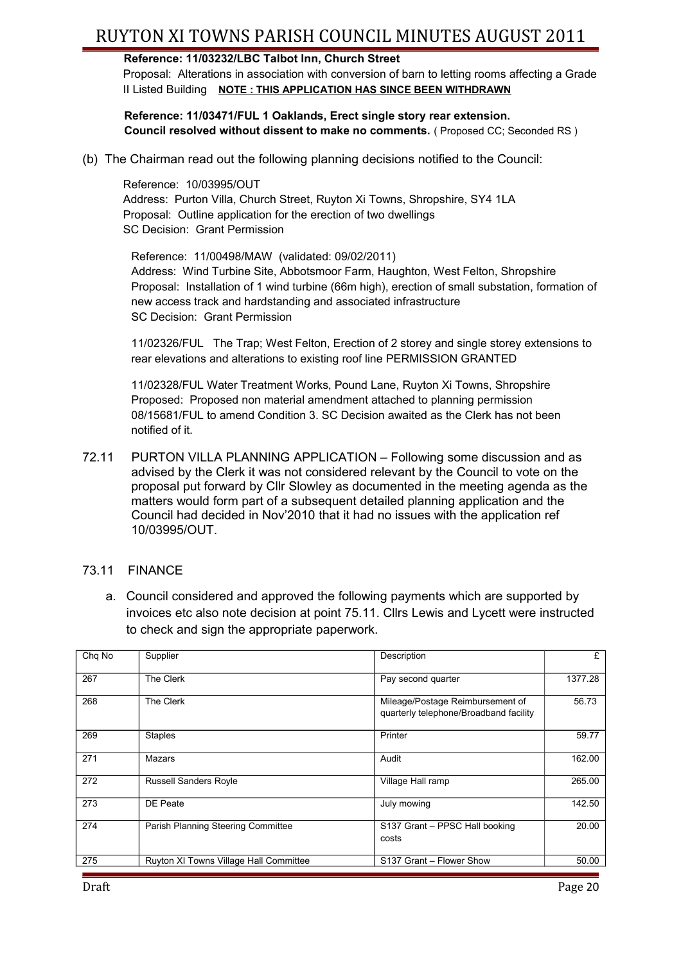## **Reference: 11/03232/LBC Talbot Inn, Church Street**

Proposal: Alterations in association with conversion of barn to letting rooms affecting a Grade II Listed Building **NOTE : THIS APPLICATION HAS SINCE BEEN WITHDRAWN**

**Reference: 11/03471/FUL 1 Oaklands, Erect single story rear extension. Council resolved without dissent to make no comments.** ( Proposed CC; Seconded RS )

(b) The Chairman read out the following planning decisions notified to the Council:

Reference: 10/03995/OUT Address: Purton Villa, Church Street, Ruyton Xi Towns, Shropshire, SY4 1LA Proposal: Outline application for the erection of two dwellings SC Decision: Grant Permission

Reference: 11/00498/MAW (validated: 09/02/2011) Address: Wind Turbine Site, Abbotsmoor Farm, Haughton, West Felton, Shropshire Proposal: Installation of 1 wind turbine (66m high), erection of small substation, formation of new access track and hardstanding and associated infrastructure SC Decision: Grant Permission

11/02326/FUL The Trap; West Felton, Erection of 2 storey and single storey extensions to rear elevations and alterations to existing roof line PERMISSION GRANTED

11/02328/FUL Water Treatment Works, Pound Lane, Ruyton Xi Towns, Shropshire Proposed: Proposed non material amendment attached to planning permission 08/15681/FUL to amend Condition 3. SC Decision awaited as the Clerk has not been notified of it.

72.11 PURTON VILLA PLANNING APPLICATION – Following some discussion and as advised by the Clerk it was not considered relevant by the Council to vote on the proposal put forward by Cllr Slowley as documented in the meeting agenda as the matters would form part of a subsequent detailed planning application and the Council had decided in Nov'2010 that it had no issues with the application ref 10/03995/OUT.

## 73.11 FINANCE

a. Council considered and approved the following payments which are supported by invoices etc also note decision at point 75.11. Cllrs Lewis and Lycett were instructed to check and sign the appropriate paperwork.

| Chg No | Supplier                               | Description                                                                | £       |
|--------|----------------------------------------|----------------------------------------------------------------------------|---------|
| 267    | The Clerk                              | Pay second quarter                                                         | 1377.28 |
| 268    | The Clerk                              | Mileage/Postage Reimbursement of<br>quarterly telephone/Broadband facility | 56.73   |
| 269    | <b>Staples</b>                         | Printer                                                                    | 59.77   |
| 271    | Mazars                                 | Audit                                                                      | 162.00  |
| 272    | <b>Russell Sanders Royle</b>           | Village Hall ramp                                                          | 265.00  |
| 273    | DE Peate                               | July mowing                                                                | 142.50  |
| 274    | Parish Planning Steering Committee     | S137 Grant - PPSC Hall booking<br>costs                                    | 20.00   |
| 275    | Ruyton XI Towns Village Hall Committee | S137 Grant - Flower Show                                                   | 50.00   |